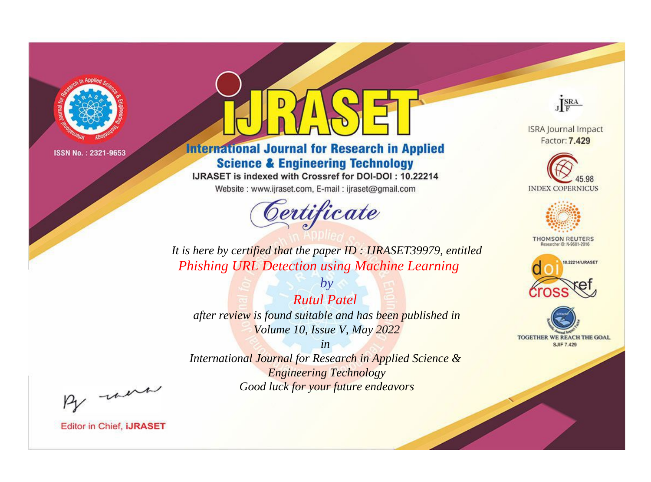

# **International Journal for Research in Applied Science & Engineering Technology**

IJRASET is indexed with Crossref for DOI-DOI: 10.22214

Website: www.ijraset.com, E-mail: ijraset@gmail.com



JERA

**ISRA Journal Impact** Factor: 7.429





**THOMSON REUTERS** 



TOGETHER WE REACH THE GOAL **SJIF 7.429** 

*It is here by certified that the paper ID : IJRASET39979, entitled Phishing URL Detection using Machine Learning*

*by Rutul Patel after review is found suitable and has been published in Volume 10, Issue V, May 2022*

*in* 

*International Journal for Research in Applied Science & Engineering Technology Good luck for your future endeavors*

By morn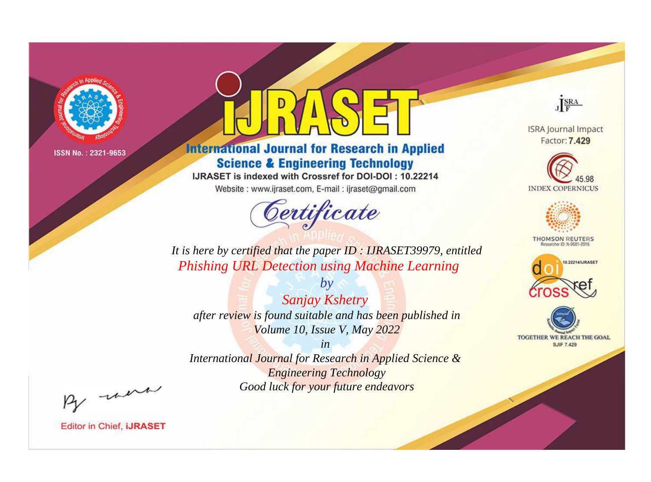

# **International Journal for Research in Applied Science & Engineering Technology**

IJRASET is indexed with Crossref for DOI-DOI: 10.22214

Website: www.ijraset.com, E-mail: ijraset@gmail.com



JERA

**ISRA Journal Impact** Factor: 7.429





**THOMSON REUTERS** 



TOGETHER WE REACH THE GOAL **SJIF 7.429** 

*It is here by certified that the paper ID : IJRASET39979, entitled Phishing URL Detection using Machine Learning*

*by Sanjay Kshetry after review is found suitable and has been published in Volume 10, Issue V, May 2022*

*in* 

*International Journal for Research in Applied Science & Engineering Technology Good luck for your future endeavors*

By morn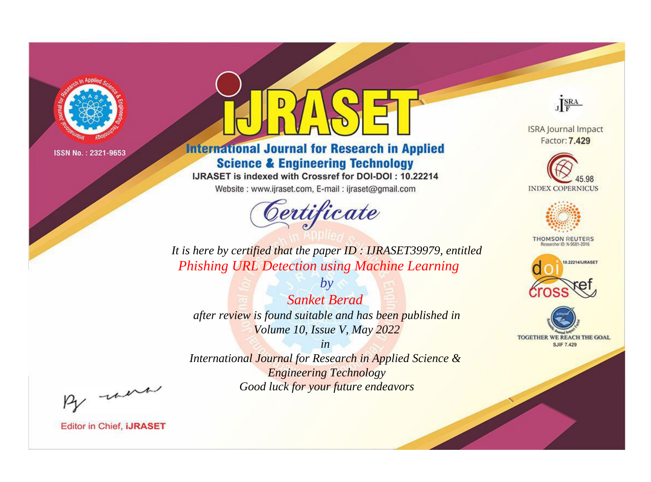

# **International Journal for Research in Applied Science & Engineering Technology**

IJRASET is indexed with Crossref for DOI-DOI: 10.22214

Website: www.ijraset.com, E-mail: ijraset@gmail.com



JERA

**ISRA Journal Impact** Factor: 7.429





**THOMSON REUTERS** 



TOGETHER WE REACH THE GOAL **SJIF 7.429** 

*It is here by certified that the paper ID : IJRASET39979, entitled Phishing URL Detection using Machine Learning*

*by Sanket Berad after review is found suitable and has been published in Volume 10, Issue V, May 2022*

*in* 

*International Journal for Research in Applied Science & Engineering Technology Good luck for your future endeavors*

By morn